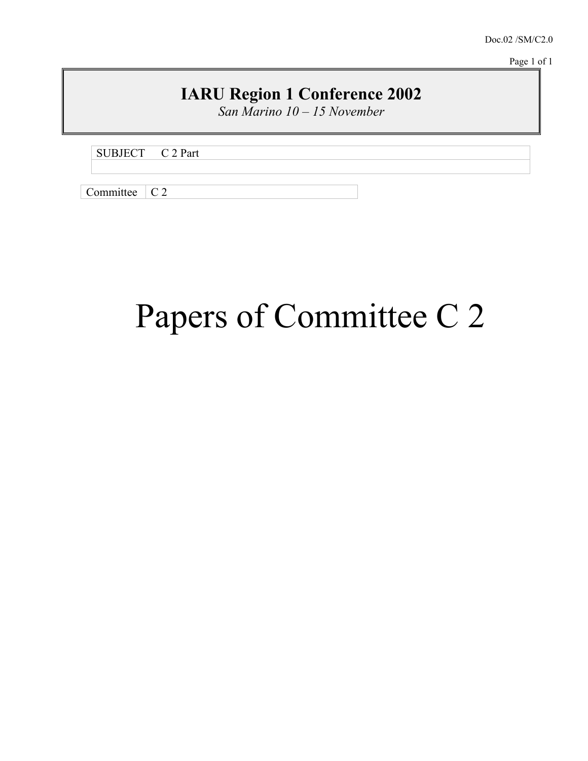Doc.02 /SM/C2.0

Page 1 of 1

# **IARU Region 1 Conference 2002**

*San Marino 10 – 15 November* 

SUBJECT C 2 Part

Committee  $\overline{C}$  2

# Papers of Committee C 2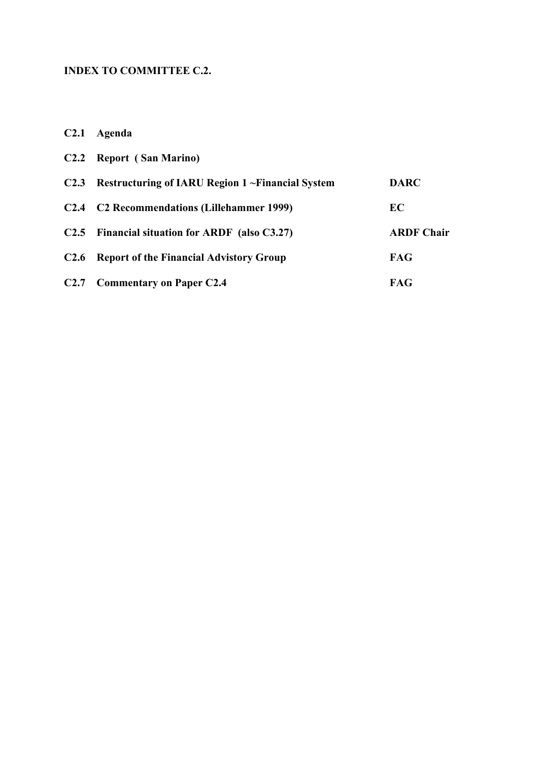## **INDEX TO COMMITTEE C.2.**

**C2.1 Agenda** 

|      | C2.2 Report (San Marino)                                  |                   |
|------|-----------------------------------------------------------|-------------------|
| C2.3 | Restructuring of IARU Region 1 ~Financial System          | <b>DARC</b>       |
| C2.4 | <b>C2 Recommendations (Lillehammer 1999)</b>              | EC.               |
|      | $C2.5$ Financial situation for ARDF (also $C3.27$ )       | <b>ARDF Chair</b> |
|      | C <sub>2</sub> .6 Report of the Financial Advistory Group | <b>FAG</b>        |
| C2.7 | <b>Commentary on Paper C2.4</b>                           | FAG               |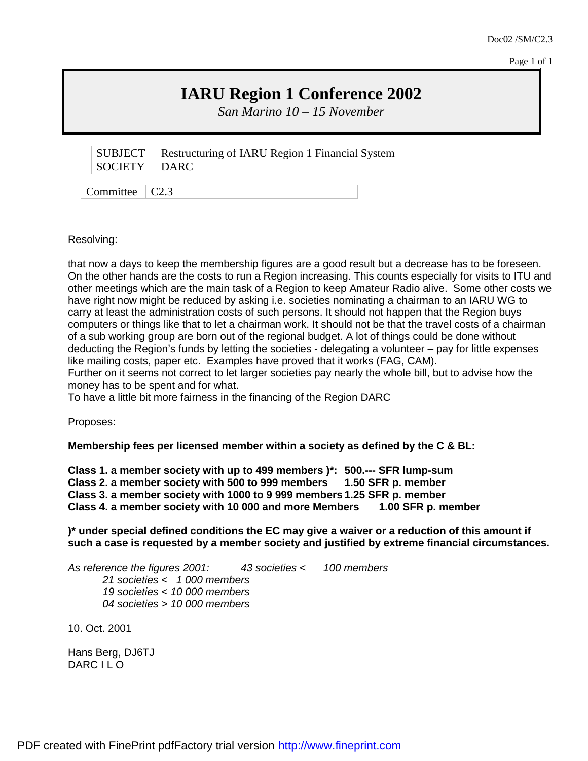Page 1 of 1

# **IARU Region 1 Conference 2002**

*San Marino 10 – 15 November*

|              | SUBJECT Restructuring of IARU Region 1 Financial System |
|--------------|---------------------------------------------------------|
| SOCIETY DARC |                                                         |

Committee  $\vert$  C2.3

Resolving:

that now a days to keep the membership figures are a good result but a decrease has to be foreseen. On the other hands are the costs to run a Region increasing. This counts especially for visits to ITU and other meetings which are the main task of a Region to keep Amateur Radio alive. Some other costs we have right now might be reduced by asking i.e. societies nominating a chairman to an IARU WG to carry at least the administration costs of such persons. It should not happen that the Region buys computers or things like that to let a chairman work. It should not be that the travel costs of a chairman of a sub working group are born out of the regional budget. A lot of things could be done without deducting the Region's funds by letting the societies - delegating a volunteer – pay for little expenses like mailing costs, paper etc. Examples have proved that it works (FAG, CAM).

Further on it seems not correct to let larger societies pay nearly the whole bill, but to advise how the money has to be spent and for what.

To have a little bit more fairness in the financing of the Region DARC

Proposes:

#### **Membership fees per licensed member within a society as defined by the C & BL:**

**Class 1. a member society with up to 499 members )\*: 500.--- SFR lump-sum Class 2. a member society with 500 to 999 members 1.50 SFR p. member Class 3. a member society with 1000 to 9 999 members 1.25 SFR p. member Class 4. a member society with 10 000 and more Members 1.00 SFR p. member**

**)\* under special defined conditions the EC may give a waiver or a reduction of this amount if such a case is requested by a member society and justified by extreme financial circumstances.**

*As reference the figures 2001: 43 societies < 100 members 21 societies < 1 000 members 19 societies < 10 000 members 04 societies > 10 000 members*

10. Oct. 2001

Hans Berg, DJ6TJ DARC I L O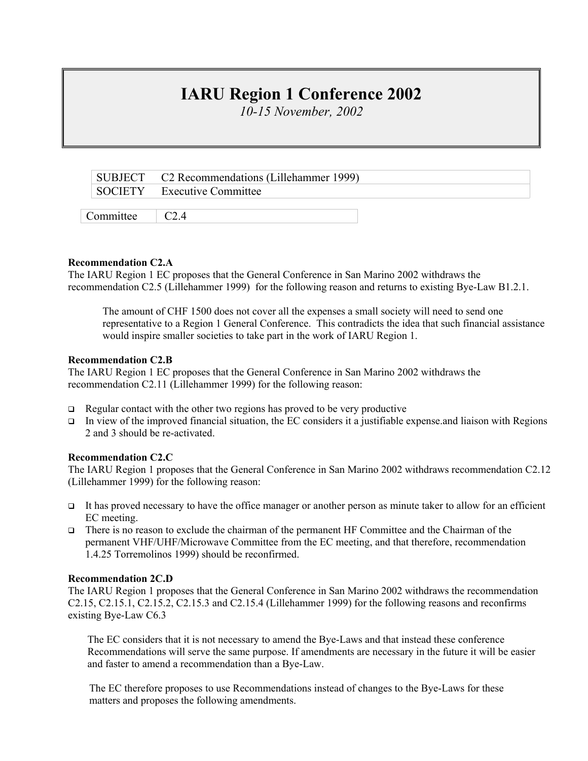# **IARU Region 1 Conference 2002**

*10-15 November, 2002* 

| SUBJECT C2 Recommendations (Lillehammer 1999) |
|-----------------------------------------------|
| SOCIETY Executive Committee                   |
|                                               |

#### **Recommendation C2.A**

Committee  $\vert$  C<sub>2.4</sub>

The IARU Region 1 EC proposes that the General Conference in San Marino 2002 withdraws the recommendation C2.5 (Lillehammer 1999) for the following reason and returns to existing Bye-Law B1.2.1.

The amount of CHF 1500 does not cover all the expenses a small society will need to send one representative to a Region 1 General Conference. This contradicts the idea that such financial assistance would inspire smaller societies to take part in the work of IARU Region 1.

#### **Recommendation C2.B**

The IARU Region 1 EC proposes that the General Conference in San Marino 2002 withdraws the recommendation C2.11 (Lillehammer 1999) for the following reason:

- $\Box$  Regular contact with the other two regions has proved to be very productive
- In view of the improved financial situation, the EC considers it a justifiable expense and liaison with Regions 2 and 3 should be re-activated.

#### **Recommendation C2.C**

The IARU Region 1 proposes that the General Conference in San Marino 2002 withdraws recommendation C2.12 (Lillehammer 1999) for the following reason:

- It has proved necessary to have the office manager or another person as minute taker to allow for an efficient EC meeting.
- $\Box$  There is no reason to exclude the chairman of the permanent HF Committee and the Chairman of the permanent VHF/UHF/Microwave Committee from the EC meeting, and that therefore, recommendation 1.4.25 Torremolinos 1999) should be reconfirmed.

#### **Recommendation 2C.D**

The IARU Region 1 proposes that the General Conference in San Marino 2002 withdraws the recommendation C2.15, C2.15.1, C2.15.2, C2.15.3 and C2.15.4 (Lillehammer 1999) for the following reasons and reconfirms existing Bye-Law C6.3

The EC considers that it is not necessary to amend the Bye-Laws and that instead these conference Recommendations will serve the same purpose. If amendments are necessary in the future it will be easier and faster to amend a recommendation than a Bye-Law.

 The EC therefore proposes to use Recommendations instead of changes to the Bye-Laws for these matters and proposes the following amendments.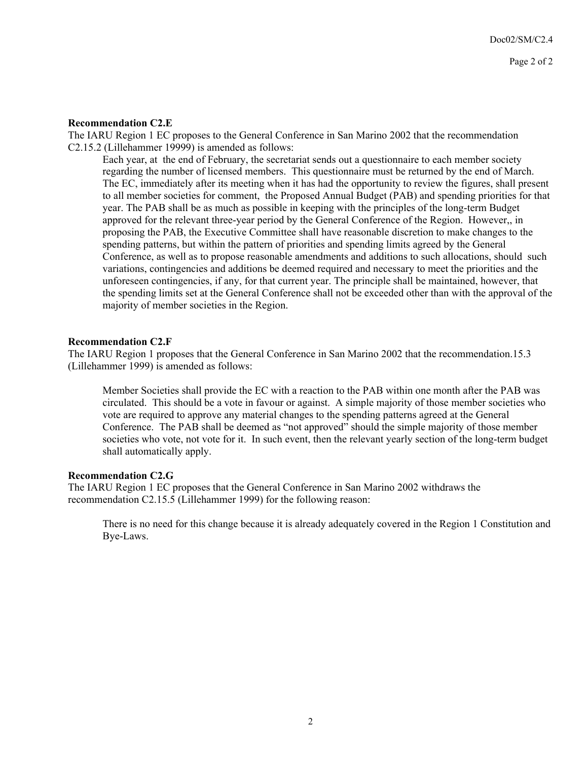#### **Recommendation C2.E**

The IARU Region 1 EC proposes to the General Conference in San Marino 2002 that the recommendation C2.15.2 (Lillehammer 19999) is amended as follows:

 Each year, at the end of February, the secretariat sends out a questionnaire to each member society regarding the number of licensed members. This questionnaire must be returned by the end of March. The EC, immediately after its meeting when it has had the opportunity to review the figures, shall present to all member societies for comment, the Proposed Annual Budget (PAB) and spending priorities for that year. The PAB shall be as much as possible in keeping with the principles of the long-term Budget approved for the relevant three-year period by the General Conference of the Region. However,, in proposing the PAB, the Executive Committee shall have reasonable discretion to make changes to the spending patterns, but within the pattern of priorities and spending limits agreed by the General Conference, as well as to propose reasonable amendments and additions to such allocations, should such variations, contingencies and additions be deemed required and necessary to meet the priorities and the unforeseen contingencies, if any, for that current year. The principle shall be maintained, however, that the spending limits set at the General Conference shall not be exceeded other than with the approval of the majority of member societies in the Region.

#### **Recommendation C2.F**

The IARU Region 1 proposes that the General Conference in San Marino 2002 that the recommendation.15.3 (Lillehammer 1999) is amended as follows:

Member Societies shall provide the EC with a reaction to the PAB within one month after the PAB was circulated. This should be a vote in favour or against. A simple majority of those member societies who vote are required to approve any material changes to the spending patterns agreed at the General Conference. The PAB shall be deemed as "not approved" should the simple majority of those member societies who vote, not vote for it. In such event, then the relevant yearly section of the long-term budget shall automatically apply.

#### **Recommendation C2.G**

The IARU Region 1 EC proposes that the General Conference in San Marino 2002 withdraws the recommendation C2.15.5 (Lillehammer 1999) for the following reason:

There is no need for this change because it is already adequately covered in the Region 1 Constitution and Bye-Laws.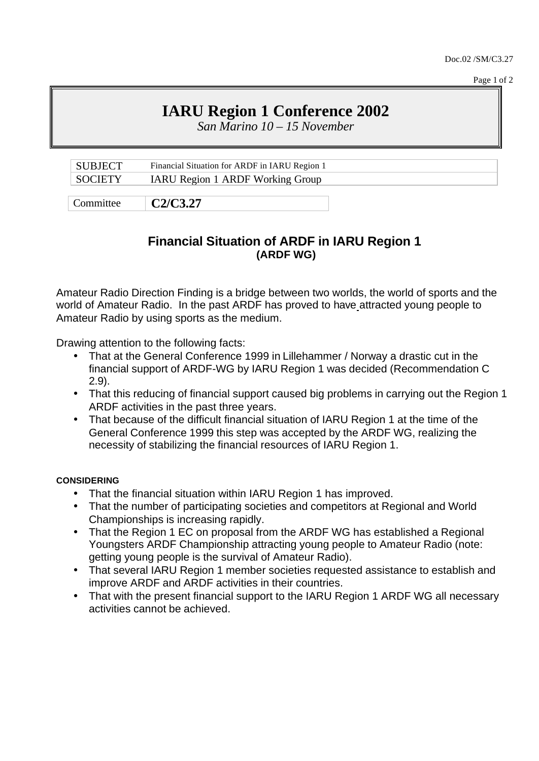Doc.02 /SM/C3.27

Page 1 of 2

# **IARU Region 1 Conference 2002**

*San Marino 10 – 15 November*

| SUBJECT        | Financial Situation for ARDF in IARU Region 1 |  |
|----------------|-----------------------------------------------|--|
| <b>SOCIETY</b> | <b>IARU Region 1 ARDF Working Group</b>       |  |
|                |                                               |  |
| Committee      | C2/C3.27                                      |  |

## **Financial Situation of ARDF in IARU Region 1 (ARDF WG)**

Amateur Radio Direction Finding is a bridge between two worlds, the world of sports and the world of Amateur Radio. In the past ARDF has proved to have attracted young people to Amateur Radio by using sports as the medium.

Drawing attention to the following facts:

- That at the General Conference 1999 in Lillehammer / Norway a drastic cut in the financial support of ARDF-WG by IARU Region 1 was decided (Recommendation C 2.9).
- That this reducing of financial support caused big problems in carrying out the Region 1 ARDF activities in the past three years.
- That because of the difficult financial situation of IARU Region 1 at the time of the General Conference 1999 this step was accepted by the ARDF WG, realizing the necessity of stabilizing the financial resources of IARU Region 1.

### **CONSIDERING**

- That the financial situation within IARU Region 1 has improved.
- That the number of participating societies and competitors at Regional and World Championships is increasing rapidly.
- That the Region 1 EC on proposal from the ARDF WG has established a Regional Youngsters ARDF Championship attracting young people to Amateur Radio (note: getting young people is the survival of Amateur Radio).
- That several IARU Region 1 member societies requested assistance to establish and improve ARDF and ARDF activities in their countries.
- That with the present financial support to the IARU Region 1 ARDF WG all necessary activities cannot be achieved.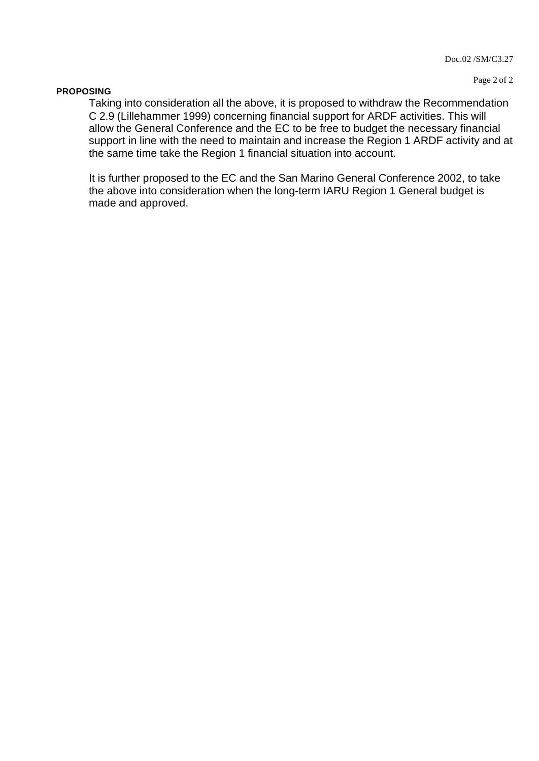#### **PROPOSING**

Taking into consideration all the above, it is proposed to withdraw the Recommendation C 2.9 (Lillehammer 1999) concerning financial support for ARDF activities. This will allow the General Conference and the EC to be free to budget the necessary financial support in line with the need to maintain and increase the Region 1 ARDF activity and at the same time take the Region 1 financial situation into account.

It is further proposed to the EC and the San Marino General Conference 2002, to take the above into consideration when the long-term IARU Region 1 General budget is made and approved.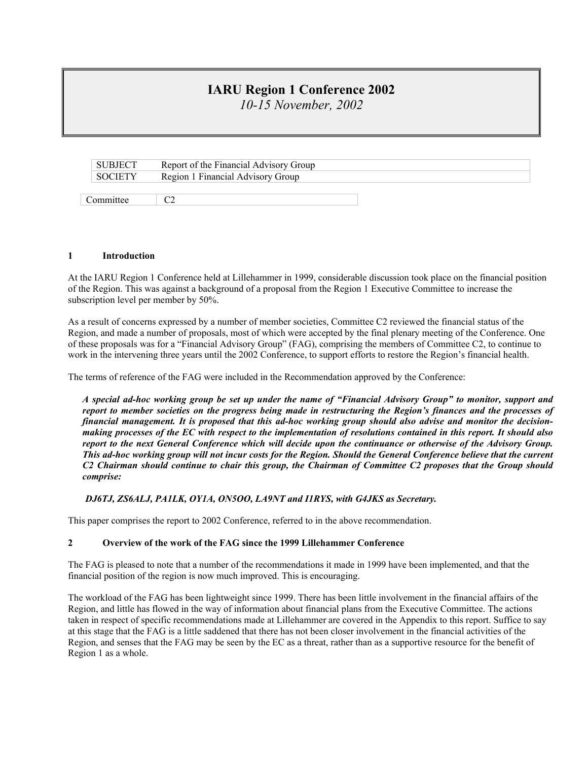## **IARU Region 1 Conference 2002**

*10-15 November, 2002* 

| SUBJECT        | Report of the Financial Advisory Group |  |
|----------------|----------------------------------------|--|
| <b>SOCIETY</b> | Region 1 Financial Advisory Group      |  |
|                |                                        |  |
| Committee      |                                        |  |

#### **1 Introduction**

At the IARU Region 1 Conference held at Lillehammer in 1999, considerable discussion took place on the financial position of the Region. This was against a background of a proposal from the Region 1 Executive Committee to increase the subscription level per member by 50%.

As a result of concerns expressed by a number of member societies, Committee C2 reviewed the financial status of the Region, and made a number of proposals, most of which were accepted by the final plenary meeting of the Conference. One of these proposals was for a "Financial Advisory Group" (FAG), comprising the members of Committee C2, to continue to work in the intervening three years until the 2002 Conference, to support efforts to restore the Region's financial health.

The terms of reference of the FAG were included in the Recommendation approved by the Conference:

*A special ad-hoc working group be set up under the name of "Financial Advisory Group" to monitor, support and report to member societies on the progress being made in restructuring the Region's finances and the processes of financial management. It is proposed that this ad-hoc working group should also advise and monitor the decisionmaking processes of the EC with respect to the implementation of resolutions contained in this report. It should also report to the next General Conference which will decide upon the continuance or otherwise of the Advisory Group. This ad-hoc working group will not incur costs for the Region. Should the General Conference believe that the current C2 Chairman should continue to chair this group, the Chairman of Committee C2 proposes that the Group should comprise:* 

#### *DJ6TJ, ZS6ALJ, PA1LK, OY1A, ON5OO, LA9NT and I1RYS, with G4JKS as Secretary.*

This paper comprises the report to 2002 Conference, referred to in the above recommendation.

#### **2 Overview of the work of the FAG since the 1999 Lillehammer Conference**

The FAG is pleased to note that a number of the recommendations it made in 1999 have been implemented, and that the financial position of the region is now much improved. This is encouraging.

The workload of the FAG has been lightweight since 1999. There has been little involvement in the financial affairs of the Region, and little has flowed in the way of information about financial plans from the Executive Committee. The actions taken in respect of specific recommendations made at Lillehammer are covered in the Appendix to this report. Suffice to say at this stage that the FAG is a little saddened that there has not been closer involvement in the financial activities of the Region, and senses that the FAG may be seen by the EC as a threat, rather than as a supportive resource for the benefit of Region 1 as a whole.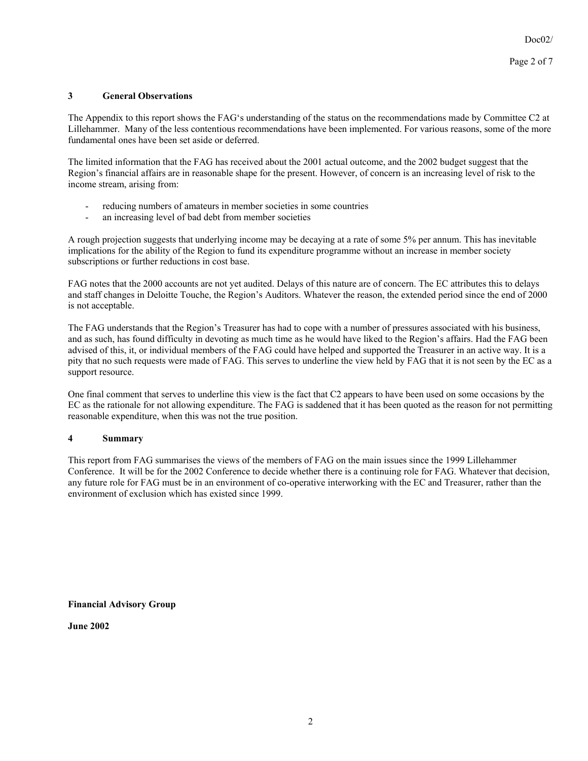#### **3 General Observations**

The Appendix to this report shows the FAG's understanding of the status on the recommendations made by Committee C2 at Lillehammer. Many of the less contentious recommendations have been implemented. For various reasons, some of the more fundamental ones have been set aside or deferred.

The limited information that the FAG has received about the 2001 actual outcome, and the 2002 budget suggest that the Region's financial affairs are in reasonable shape for the present. However, of concern is an increasing level of risk to the income stream, arising from:

- reducing numbers of amateurs in member societies in some countries
- an increasing level of bad debt from member societies

A rough projection suggests that underlying income may be decaying at a rate of some 5% per annum. This has inevitable implications for the ability of the Region to fund its expenditure programme without an increase in member society subscriptions or further reductions in cost base.

FAG notes that the 2000 accounts are not yet audited. Delays of this nature are of concern. The EC attributes this to delays and staff changes in Deloitte Touche, the Region's Auditors. Whatever the reason, the extended period since the end of 2000 is not acceptable.

The FAG understands that the Region's Treasurer has had to cope with a number of pressures associated with his business, and as such, has found difficulty in devoting as much time as he would have liked to the Region's affairs. Had the FAG been advised of this, it, or individual members of the FAG could have helped and supported the Treasurer in an active way. It is a pity that no such requests were made of FAG. This serves to underline the view held by FAG that it is not seen by the EC as a support resource.

One final comment that serves to underline this view is the fact that C2 appears to have been used on some occasions by the EC as the rationale for not allowing expenditure. The FAG is saddened that it has been quoted as the reason for not permitting reasonable expenditure, when this was not the true position.

#### **4 Summary**

This report from FAG summarises the views of the members of FAG on the main issues since the 1999 Lillehammer Conference. It will be for the 2002 Conference to decide whether there is a continuing role for FAG. Whatever that decision, any future role for FAG must be in an environment of co-operative interworking with the EC and Treasurer, rather than the environment of exclusion which has existed since 1999.

**Financial Advisory Group** 

**June 2002**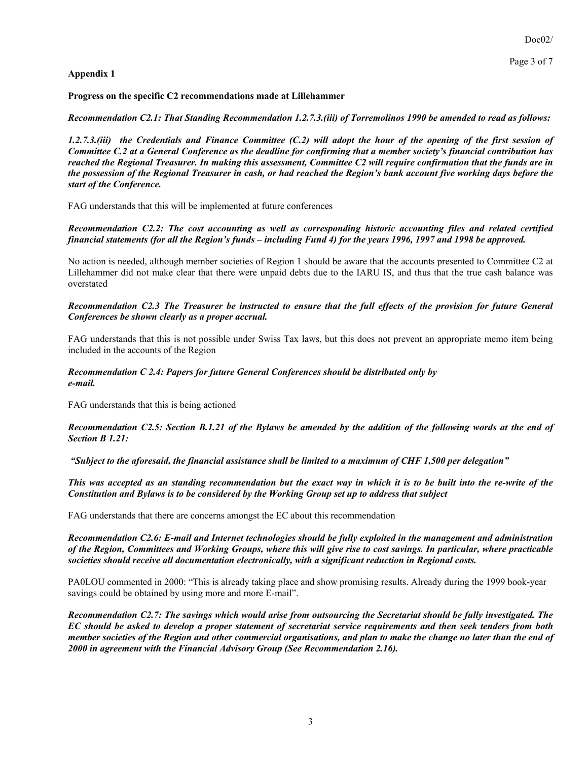#### **Appendix 1**

**Progress on the specific C2 recommendations made at Lillehammer** 

*Recommendation C2.1: That Standing Recommendation 1.2.7.3.(iii) of Torremolinos 1990 be amended to read as follows:* 

*1.2.7.3.(iii) the Credentials and Finance Committee (C.2) will adopt the hour of the opening of the first session of Committee C.2 at a General Conference as the deadline for confirming that a member society's financial contribution has reached the Regional Treasurer. In making this assessment, Committee C2 will require confirmation that the funds are in the possession of the Regional Treasurer in cash, or had reached the Region's bank account five working days before the start of the Conference.* 

FAG understands that this will be implemented at future conferences

#### *Recommendation C2.2: The cost accounting as well as corresponding historic accounting files and related certified financial statements (for all the Region's funds – including Fund 4) for the years 1996, 1997 and 1998 be approved.*

No action is needed, although member societies of Region 1 should be aware that the accounts presented to Committee C2 at Lillehammer did not make clear that there were unpaid debts due to the IARU IS, and thus that the true cash balance was overstated

#### *Recommendation C2.3 The Treasurer be instructed to ensure that the full effects of the provision for future General Conferences be shown clearly as a proper accrual.*

FAG understands that this is not possible under Swiss Tax laws, but this does not prevent an appropriate memo item being included in the accounts of the Region

#### *Recommendation C 2.4: Papers for future General Conferences should be distributed only by e-mail.*

FAG understands that this is being actioned

*Recommendation C2.5: Section B.1.21 of the Bylaws be amended by the addition of the following words at the end of Section B 1.21:* 

 *"Subject to the aforesaid, the financial assistance shall be limited to a maximum of CHF 1,500 per delegation"* 

*This was accepted as an standing recommendation but the exact way in which it is to be built into the re-write of the Constitution and Bylaws is to be considered by the Working Group set up to address that subject* 

FAG understands that there are concerns amongst the EC about this recommendation

*Recommendation C2.6: E-mail and Internet technologies should be fully exploited in the management and administration of the Region, Committees and Working Groups, where this will give rise to cost savings. In particular, where practicable societies should receive all documentation electronically, with a significant reduction in Regional costs.* 

PA0LOU commented in 2000: "This is already taking place and show promising results. Already during the 1999 book-year savings could be obtained by using more and more E-mail".

*Recommendation C2.7: The savings which would arise from outsourcing the Secretariat should be fully investigated. The EC should be asked to develop a proper statement of secretariat service requirements and then seek tenders from both member societies of the Region and other commercial organisations, and plan to make the change no later than the end of 2000 in agreement with the Financial Advisory Group (See Recommendation 2.16).*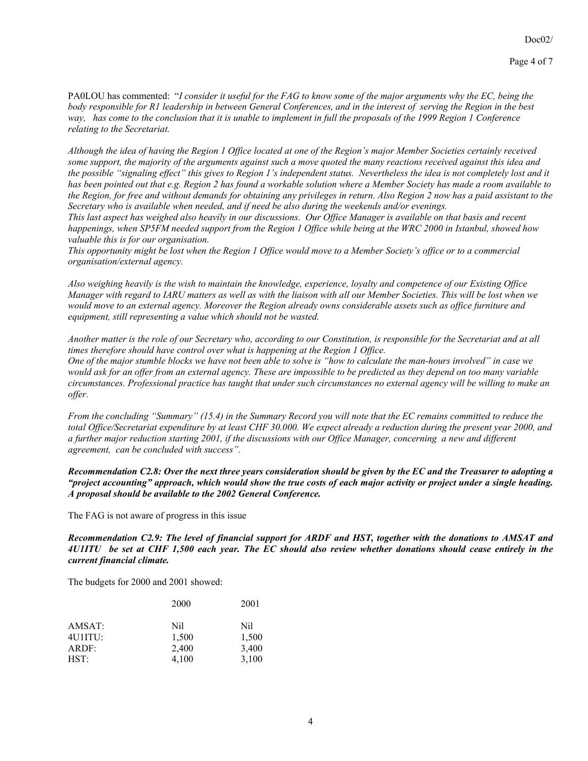PA0LOU has commented: "*I consider it useful for the FAG to know some of the major arguments why the EC, being the body responsible for R1 leadership in between General Conferences, and in the interest of serving the Region in the best way, has come to the conclusion that it is unable to implement in full the proposals of the 1999 Region 1 Conference relating to the Secretariat.* 

*Although the idea of having the Region 1 Office located at one of the Region's major Member Societies certainly received some support, the majority of the arguments against such a move quoted the many reactions received against this idea and the possible "signaling effect" this gives to Region 1's independent status. Nevertheless the idea is not completely lost and it has been pointed out that e.g. Region 2 has found a workable solution where a Member Society has made a room available to the Region, for free and without demands for obtaining any privileges in return. Also Region 2 now has a paid assistant to the Secretary who is available when needed, and if need be also during the weekends and/or evenings.* 

*This last aspect has weighed also heavily in our discussions. Our Office Manager is available on that basis and recent happenings, when SP5FM needed support from the Region 1 Office while being at the WRC 2000 in Istanbul, showed how valuable this is for our organisation.*

*This opportunity might be lost when the Region 1 Office would move to a Member Society's office or to a commercial organisation/external agency.* 

*Also weighing heavily is the wish to maintain the knowledge, experience, loyalty and competence of our Existing Office Manager with regard to IARU matters as well as with the liaison with all our Member Societies. This will be lost when we would move to an external agency. Moreover the Region already owns considerable assets such as office furniture and equipment, still representing a value which should not be wasted.* 

*Another matter is the role of our Secretary who, according to our Constitution, is responsible for the Secretariat and at all times therefore should have control over what is happening at the Region 1 Office. One of the major stumble blocks we have not been able to solve is "how to calculate the man-hours involved" in case we would ask for an offer from an external agency. These are impossible to be predicted as they depend on too many variable circumstances. Professional practice has taught that under such circumstances no external agency will be willing to make an offer.* 

*From the concluding "Summary" (15.4) in the Summary Record you will note that the EC remains committed to reduce the total Office/Secretariat expenditure by at least CHF 30.000. We expect already a reduction during the present year 2000, and a further major reduction starting 2001, if the discussions with our Office Manager, concerning a new and different agreement, can be concluded with success".* 

*Recommendation C2.8: Over the next three years consideration should be given by the EC and the Treasurer to adopting a "project accounting" approach, which would show the true costs of each major activity or project under a single heading. A proposal should be available to the 2002 General Conference.* 

The FAG is not aware of progress in this issue

*Recommendation C2.9: The level of financial support for ARDF and HST, together with the donations to AMSAT and 4U1ITU be set at CHF 1,500 each year. The EC should also review whether donations should cease entirely in the current financial climate.*

The budgets for 2000 and 2001 showed:

|           | 2000  | 2001  |
|-----------|-------|-------|
| AMSAT:    | Nil   | Nil   |
| $4$ UITU: | 1,500 | 1,500 |
| ARDF:     | 2,400 | 3,400 |
| HST:      | 4,100 | 3,100 |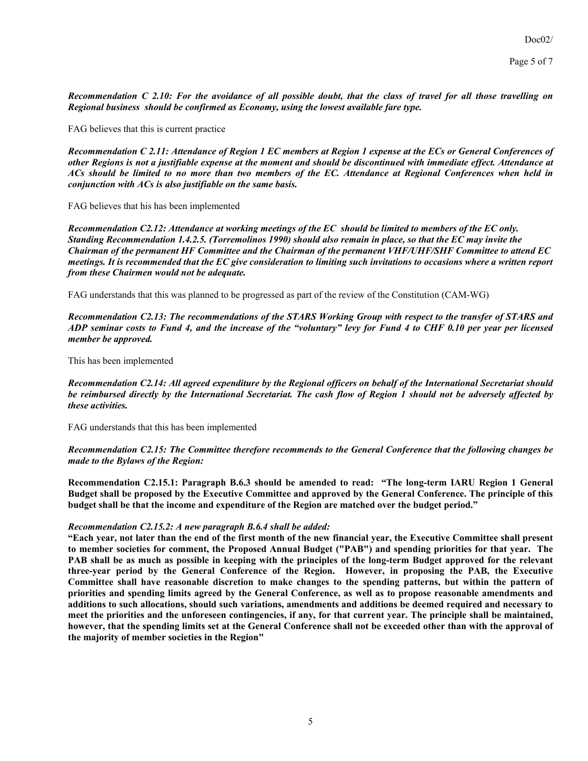*Recommendation C 2.10: For the avoidance of all possible doubt, that the class of travel for all those travelling on Regional business should be confirmed as Economy, using the lowest available fare type.* 

FAG believes that this is current practice

*Recommendation C 2.11: Attendance of Region 1 EC members at Region 1 expense at the ECs or General Conferences of other Regions is not a justifiable expense at the moment and should be discontinued with immediate effect. Attendance at ACs should be limited to no more than two members of the EC. Attendance at Regional Conferences when held in conjunction with ACs is also justifiable on the same basis.* 

FAG believes that his has been implemented

*Recommendation C2.12: Attendance at working meetings of the EC should be limited to members of the EC only. Standing Recommendation 1.4.2.5. (Torremolinos 1990) should also remain in place, so that the EC may invite the Chairman of the permanent HF Committee and the Chairman of the permanent VHF/UHF/SHF Committee to attend EC meetings. It is recommended that the EC give consideration to limiting such invitations to occasions where a written report from these Chairmen would not be adequate.* 

FAG understands that this was planned to be progressed as part of the review of the Constitution (CAM-WG)

*Recommendation C2.13: The recommendations of the STARS Working Group with respect to the transfer of STARS and ADP seminar costs to Fund 4, and the increase of the "voluntary" levy for Fund 4 to CHF 0.10 per year per licensed member be approved.* 

This has been implemented

*Recommendation C2.14: All agreed expenditure by the Regional officers on behalf of the International Secretariat should be reimbursed directly by the International Secretariat. The cash flow of Region 1 should not be adversely affected by these activities.*

FAG understands that this has been implemented

*Recommendation C2.15: The Committee therefore recommends to the General Conference that the following changes be made to the Bylaws of the Region:* 

**Recommendation C2.15.1: Paragraph B.6.3 should be amended to read: "The long-term IARU Region 1 General Budget shall be proposed by the Executive Committee and approved by the General Conference. The principle of this budget shall be that the income and expenditure of the Region are matched over the budget period."** 

#### *Recommendation C2.15.2: A new paragraph B.6.4 shall be added:*

**"Each year, not later than the end of the first month of the new financial year, the Executive Committee shall present to member societies for comment, the Proposed Annual Budget ("PAB") and spending priorities for that year. The PAB shall be as much as possible in keeping with the principles of the long-term Budget approved for the relevant three-year period by the General Conference of the Region. However, in proposing the PAB, the Executive Committee shall have reasonable discretion to make changes to the spending patterns, but within the pattern of priorities and spending limits agreed by the General Conference, as well as to propose reasonable amendments and additions to such allocations, should such variations, amendments and additions be deemed required and necessary to meet the priorities and the unforeseen contingencies, if any, for that current year. The principle shall be maintained, however, that the spending limits set at the General Conference shall not be exceeded other than with the approval of the majority of member societies in the Region"**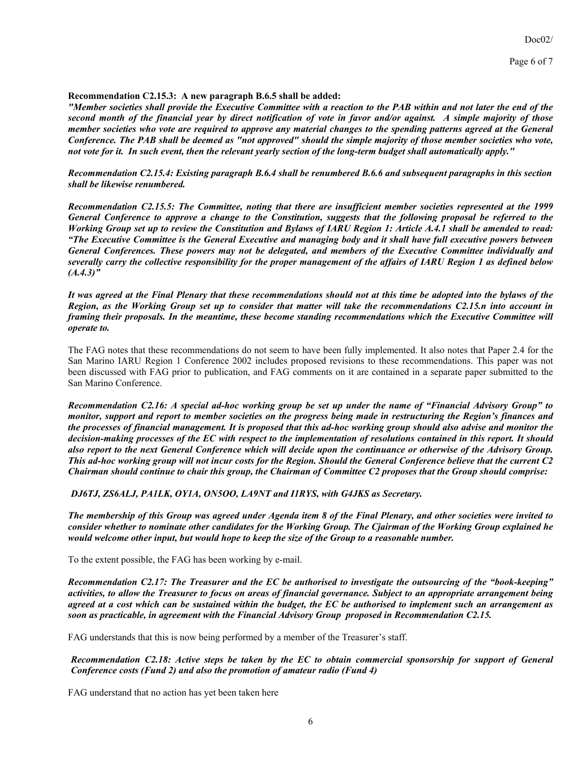#### **Recommendation C2.15.3: A new paragraph B.6.5 shall be added:**

*"Member societies shall provide the Executive Committee with a reaction to the PAB within and not later the end of the second month of the financial year by direct notification of vote in favor and/or against. A simple majority of those member societies who vote are required to approve any material changes to the spending patterns agreed at the General Conference. The PAB shall be deemed as "not approved" should the simple majority of those member societies who vote, not vote for it. In such event, then the relevant yearly section of the long-term budget shall automatically apply."* 

*Recommendation C2.15.4: Existing paragraph B.6.4 shall be renumbered B.6.6 and subsequent paragraphs in this section shall be likewise renumbered.* 

*Recommendation C2.15.5: The Committee, noting that there are insufficient member societies represented at the 1999 General Conference to approve a change to the Constitution, suggests that the following proposal be referred to the Working Group set up to review the Constitution and Bylaws of IARU Region 1: Article A.4.1 shall be amended to read: "The Executive Committee is the General Executive and managing body and it shall have full executive powers between General Conferences. These powers may not be delegated, and members of the Executive Committee individually and severally carry the collective responsibility for the proper management of the affairs of IARU Region 1 as defined below (A.4.3)"*

*It was agreed at the Final Plenary that these recommendations should not at this time be adopted into the bylaws of the Region, as the Working Group set up to consider that matter will take the recommendations C2.15.n into account in framing their proposals. In the meantime, these become standing recommendations which the Executive Committee will operate to.* 

The FAG notes that these recommendations do not seem to have been fully implemented. It also notes that Paper 2.4 for the San Marino IARU Region 1 Conference 2002 includes proposed revisions to these recommendations. This paper was not been discussed with FAG prior to publication, and FAG comments on it are contained in a separate paper submitted to the San Marino Conference.

*Recommendation C2.16: A special ad-hoc working group be set up under the name of "Financial Advisory Group" to monitor, support and report to member societies on the progress being made in restructuring the Region's finances and the processes of financial management. It is proposed that this ad-hoc working group should also advise and monitor the decision-making processes of the EC with respect to the implementation of resolutions contained in this report. It should also report to the next General Conference which will decide upon the continuance or otherwise of the Advisory Group. This ad-hoc working group will not incur costs for the Region. Should the General Conference believe that the current C2 Chairman should continue to chair this group, the Chairman of Committee C2 proposes that the Group should comprise:* 

*DJ6TJ, ZS6ALJ, PA1LK, OY1A, ON5OO, LA9NT and I1RYS, with G4JKS as Secretary.* 

*The membership of this Group was agreed under Agenda item 8 of the Final Plenary, and other societies were invited to consider whether to nominate other candidates for the Working Group. The Cjairman of the Working Group explained he would welcome other input, but would hope to keep the size of the Group to a reasonable number.* 

To the extent possible, the FAG has been working by e-mail.

*Recommendation C2.17: The Treasurer and the EC be authorised to investigate the outsourcing of the "book-keeping" activities, to allow the Treasurer to focus on areas of financial governance. Subject to an appropriate arrangement being agreed at a cost which can be sustained within the budget, the EC be authorised to implement such an arrangement as soon as practicable, in agreement with the Financial Advisory Group proposed in Recommendation C2.15.* 

FAG understands that this is now being performed by a member of the Treasurer's staff.

*Recommendation C2.18: Active steps be taken by the EC to obtain commercial sponsorship for support of General Conference costs (Fund 2) and also the promotion of amateur radio (Fund 4)* 

FAG understand that no action has yet been taken here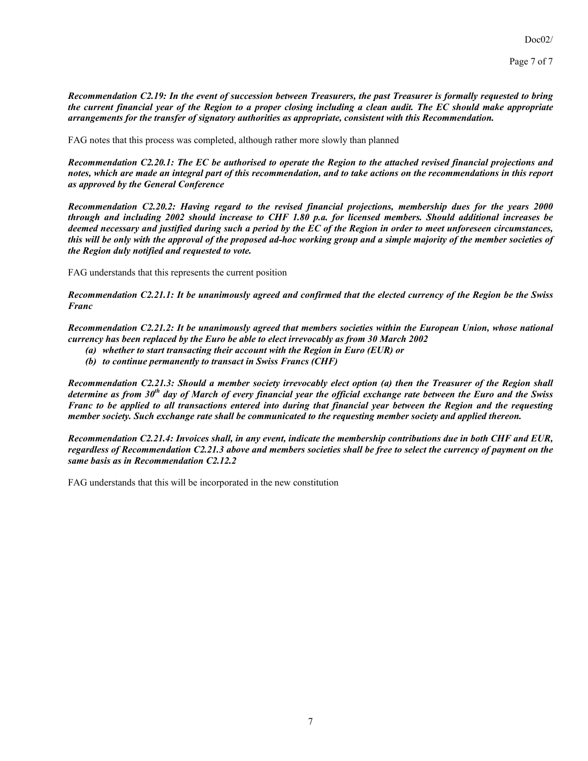*Recommendation C2.19: In the event of succession between Treasurers, the past Treasurer is formally requested to bring the current financial year of the Region to a proper closing including a clean audit. The EC should make appropriate arrangements for the transfer of signatory authorities as appropriate, consistent with this Recommendation.* 

FAG notes that this process was completed, although rather more slowly than planned

*Recommendation C2.20.1: The EC be authorised to operate the Region to the attached revised financial projections and notes, which are made an integral part of this recommendation, and to take actions on the recommendations in this report as approved by the General Conference* 

*Recommendation C2.20.2: Having regard to the revised financial projections, membership dues for the years 2000 through and including 2002 should increase to CHF 1.80 p.a. for licensed members. Should additional increases be deemed necessary and justified during such a period by the EC of the Region in order to meet unforeseen circumstances, this will be only with the approval of the proposed ad-hoc working group and a simple majority of the member societies of the Region duly notified and requested to vote.* 

FAG understands that this represents the current position

*Recommendation C2.21.1: It be unanimously agreed and confirmed that the elected currency of the Region be the Swiss Franc* 

*Recommendation C2.21.2: It be unanimously agreed that members societies within the European Union, whose national currency has been replaced by the Euro be able to elect irrevocably as from 30 March 2002* 

- *(a) whether to start transacting their account with the Region in Euro (EUR) or*
- *(b) to continue permanently to transact in Swiss Francs (CHF)*

*Recommendation C2.21.3: Should a member society irrevocably elect option (a) then the Treasurer of the Region shall determine as from 30th day of March of every financial year the official exchange rate between the Euro and the Swiss Franc to be applied to all transactions entered into during that financial year between the Region and the requesting member society. Such exchange rate shall be communicated to the requesting member society and applied thereon.* 

*Recommendation C2.21.4: Invoices shall, in any event, indicate the membership contributions due in both CHF and EUR, regardless of Recommendation C2.21.3 above and members societies shall be free to select the currency of payment on the same basis as in Recommendation C2.12.2* 

FAG understands that this will be incorporated in the new constitution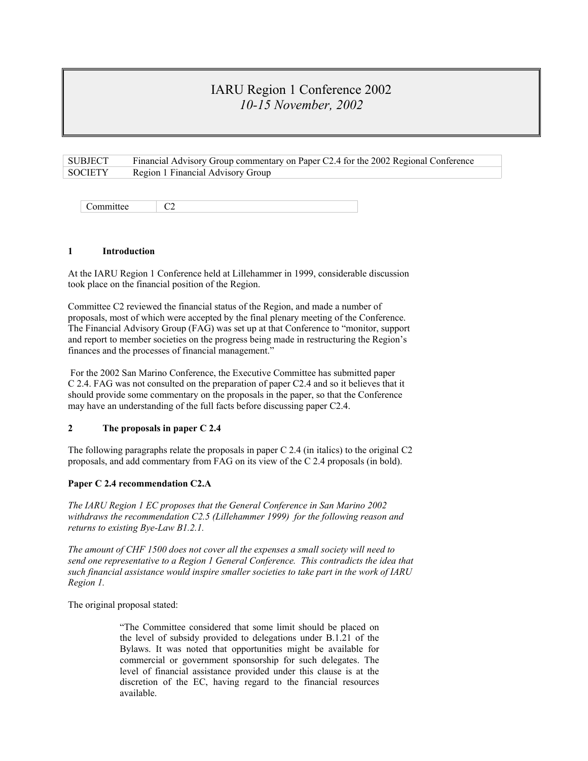## IARU Region 1 Conference 2002 *10-15 November, 2002*

| SUBJECT | Financial Advisory Group commentary on Paper C2.4 for the 2002 Regional Conference |
|---------|------------------------------------------------------------------------------------|
| SOCIETY | Region 1 Financial Advisory Group                                                  |

Committee | C<sub>2</sub>

#### **1 Introduction**

At the IARU Region 1 Conference held at Lillehammer in 1999, considerable discussion took place on the financial position of the Region.

Committee C2 reviewed the financial status of the Region, and made a number of proposals, most of which were accepted by the final plenary meeting of the Conference. The Financial Advisory Group (FAG) was set up at that Conference to "monitor, support and report to member societies on the progress being made in restructuring the Region's finances and the processes of financial management."

 For the 2002 San Marino Conference, the Executive Committee has submitted paper C 2.4. FAG was not consulted on the preparation of paper C2.4 and so it believes that it should provide some commentary on the proposals in the paper, so that the Conference may have an understanding of the full facts before discussing paper C2.4.

#### **2 The proposals in paper C 2.4**

The following paragraphs relate the proposals in paper  $C$  2.4 (in italics) to the original  $C$ 2 proposals, and add commentary from FAG on its view of the C 2.4 proposals (in bold).

#### **Paper C 2.4 recommendation C2.A**

*The IARU Region 1 EC proposes that the General Conference in San Marino 2002 withdraws the recommendation C2.5 (Lillehammer 1999) for the following reason and returns to existing Bye-Law B1.2.1.* 

*The amount of CHF 1500 does not cover all the expenses a small society will need to send one representative to a Region 1 General Conference. This contradicts the idea that such financial assistance would inspire smaller societies to take part in the work of IARU Region 1.* 

The original proposal stated:

"The Committee considered that some limit should be placed on the level of subsidy provided to delegations under B.1.21 of the Bylaws. It was noted that opportunities might be available for commercial or government sponsorship for such delegates. The level of financial assistance provided under this clause is at the discretion of the EC, having regard to the financial resources available.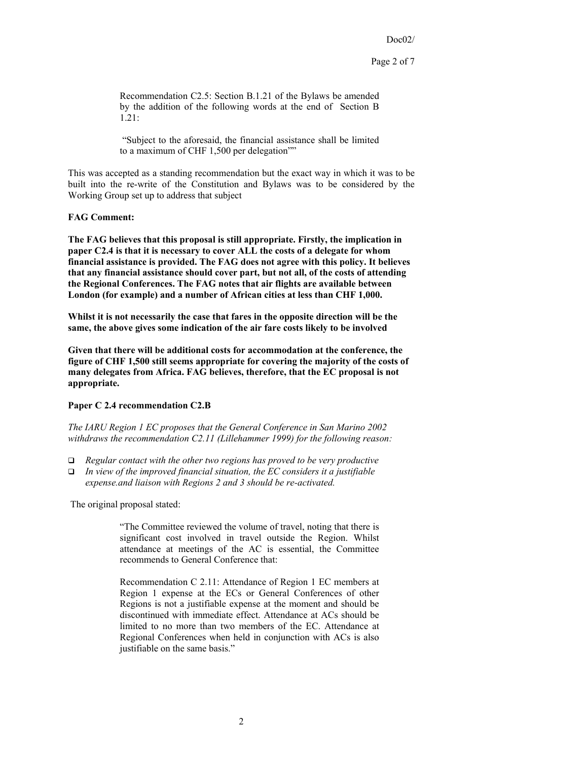Page 2 of 7

Recommendation C2.5: Section B.1.21 of the Bylaws be amended by the addition of the following words at the end of Section B 1.21:

"Subject to the aforesaid, the financial assistance shall be limited to a maximum of CHF 1,500 per delegation""

This was accepted as a standing recommendation but the exact way in which it was to be built into the re-write of the Constitution and Bylaws was to be considered by the Working Group set up to address that subject

#### **FAG Comment:**

**The FAG believes that this proposal is still appropriate. Firstly, the implication in paper C2.4 is that it is necessary to cover ALL the costs of a delegate for whom financial assistance is provided. The FAG does not agree with this policy. It believes that any financial assistance should cover part, but not all, of the costs of attending the Regional Conferences. The FAG notes that air flights are available between London (for example) and a number of African cities at less than CHF 1,000.** 

**Whilst it is not necessarily the case that fares in the opposite direction will be the same, the above gives some indication of the air fare costs likely to be involved** 

**Given that there will be additional costs for accommodation at the conference, the figure of CHF 1,500 still seems appropriate for covering the majority of the costs of many delegates from Africa. FAG believes, therefore, that the EC proposal is not appropriate.**

#### **Paper C 2.4 recommendation C2.B**

*The IARU Region 1 EC proposes that the General Conference in San Marino 2002 withdraws the recommendation C2.11 (Lillehammer 1999) for the following reason:* 

- *Regular contact with the other two regions has proved to be very productive*
- *In view of the improved financial situation, the EC considers it a justifiable expense.and liaison with Regions 2 and 3 should be re-activated.*

The original proposal stated:

"The Committee reviewed the volume of travel, noting that there is significant cost involved in travel outside the Region. Whilst attendance at meetings of the AC is essential, the Committee recommends to General Conference that:

Recommendation C 2.11: Attendance of Region 1 EC members at Region 1 expense at the ECs or General Conferences of other Regions is not a justifiable expense at the moment and should be discontinued with immediate effect. Attendance at ACs should be limited to no more than two members of the EC. Attendance at Regional Conferences when held in conjunction with ACs is also justifiable on the same basis."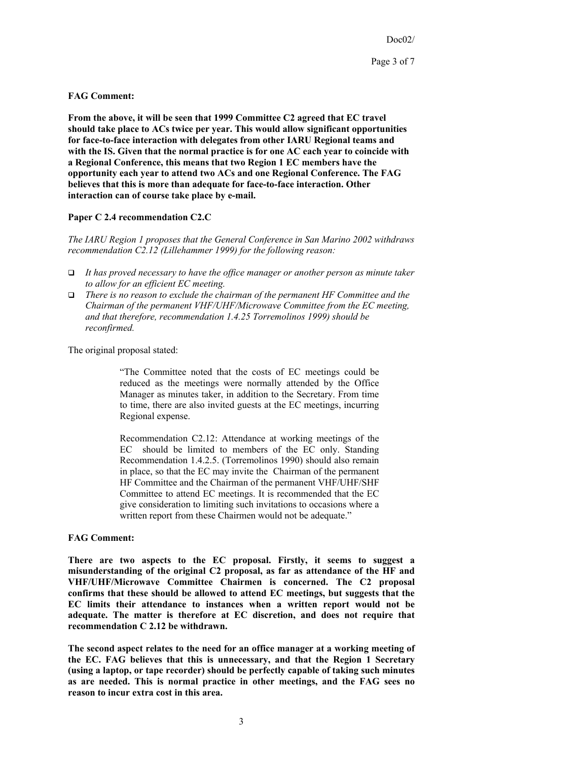Doc02/

#### **FAG Comment:**

**From the above, it will be seen that 1999 Committee C2 agreed that EC travel should take place to ACs twice per year. This would allow significant opportunities for face-to-face interaction with delegates from other IARU Regional teams and with the IS. Given that the normal practice is for one AC each year to coincide with a Regional Conference, this means that two Region 1 EC members have the opportunity each year to attend two ACs and one Regional Conference. The FAG believes that this is more than adequate for face-to-face interaction. Other interaction can of course take place by e-mail.** 

#### **Paper C 2.4 recommendation C2.C**

*The IARU Region 1 proposes that the General Conference in San Marino 2002 withdraws recommendation C2.12 (Lillehammer 1999) for the following reason:* 

- *It has proved necessary to have the office manager or another person as minute taker to allow for an efficient EC meeting.*
- *There is no reason to exclude the chairman of the permanent HF Committee and the Chairman of the permanent VHF/UHF/Microwave Committee from the EC meeting, and that therefore, recommendation 1.4.25 Torremolinos 1999) should be reconfirmed.*

The original proposal stated:

"The Committee noted that the costs of EC meetings could be reduced as the meetings were normally attended by the Office Manager as minutes taker, in addition to the Secretary. From time to time, there are also invited guests at the EC meetings, incurring Regional expense.

Recommendation C2.12: Attendance at working meetings of the EC should be limited to members of the EC only. Standing Recommendation 1.4.2.5. (Torremolinos 1990) should also remain in place, so that the EC may invite the Chairman of the permanent HF Committee and the Chairman of the permanent VHF/UHF/SHF Committee to attend EC meetings. It is recommended that the EC give consideration to limiting such invitations to occasions where a written report from these Chairmen would not be adequate."

#### **FAG Comment:**

**There are two aspects to the EC proposal. Firstly, it seems to suggest a misunderstanding of the original C2 proposal, as far as attendance of the HF and VHF/UHF/Microwave Committee Chairmen is concerned. The C2 proposal confirms that these should be allowed to attend EC meetings, but suggests that the EC limits their attendance to instances when a written report would not be adequate. The matter is therefore at EC discretion, and does not require that recommendation C 2.12 be withdrawn.** 

**The second aspect relates to the need for an office manager at a working meeting of the EC. FAG believes that this is unnecessary, and that the Region 1 Secretary (using a laptop, or tape recorder) should be perfectly capable of taking such minutes as are needed. This is normal practice in other meetings, and the FAG sees no reason to incur extra cost in this area.**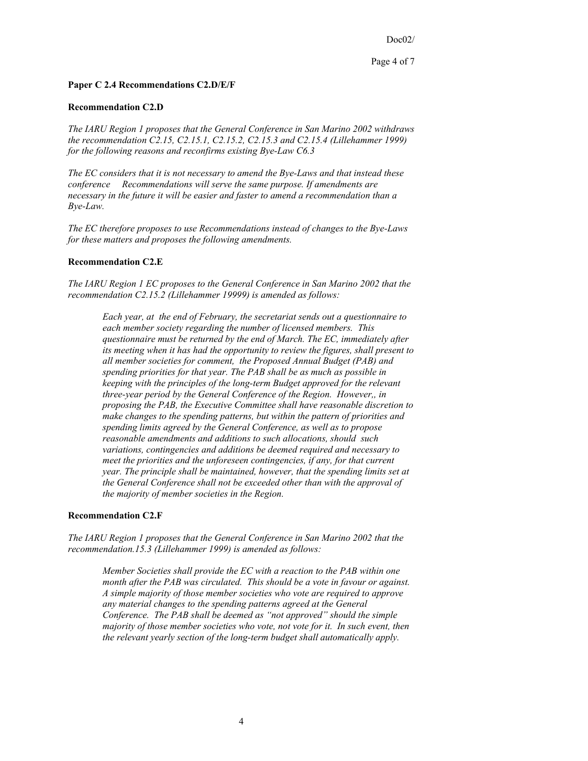Doc02/

#### **Paper C 2.4 Recommendations C2.D/E/F**

#### **Recommendation C2.D**

*The IARU Region 1 proposes that the General Conference in San Marino 2002 withdraws the recommendation C2.15, C2.15.1, C2.15.2, C2.15.3 and C2.15.4 (Lillehammer 1999) for the following reasons and reconfirms existing Bye-Law C6.3*

*The EC considers that it is not necessary to amend the Bye-Laws and that instead these conference Recommendations will serve the same purpose. If amendments are necessary in the future it will be easier and faster to amend a recommendation than a Bye-Law.* 

*The EC therefore proposes to use Recommendations instead of changes to the Bye-Laws for these matters and proposes the following amendments.* 

#### **Recommendation C2.E**

*The IARU Region 1 EC proposes to the General Conference in San Marino 2002 that the recommendation C2.15.2 (Lillehammer 19999) is amended as follows:* 

*Each year, at the end of February, the secretariat sends out a questionnaire to each member society regarding the number of licensed members. This questionnaire must be returned by the end of March. The EC, immediately after its meeting when it has had the opportunity to review the figures, shall present to all member societies for comment, the Proposed Annual Budget (PAB) and spending priorities for that year. The PAB shall be as much as possible in keeping with the principles of the long-term Budget approved for the relevant three-year period by the General Conference of the Region. However,, in proposing the PAB, the Executive Committee shall have reasonable discretion to make changes to the spending patterns, but within the pattern of priorities and spending limits agreed by the General Conference, as well as to propose reasonable amendments and additions to such allocations, should such variations, contingencies and additions be deemed required and necessary to meet the priorities and the unforeseen contingencies, if any, for that current year. The principle shall be maintained, however, that the spending limits set at the General Conference shall not be exceeded other than with the approval of the majority of member societies in the Region.* 

#### **Recommendation C2.F**

*The IARU Region 1 proposes that the General Conference in San Marino 2002 that the recommendation.15.3 (Lillehammer 1999) is amended as follows:* 

*Member Societies shall provide the EC with a reaction to the PAB within one month after the PAB was circulated. This should be a vote in favour or against. A simple majority of those member societies who vote are required to approve any material changes to the spending patterns agreed at the General Conference. The PAB shall be deemed as "not approved" should the simple majority of those member societies who vote, not vote for it. In such event, then the relevant yearly section of the long-term budget shall automatically apply.*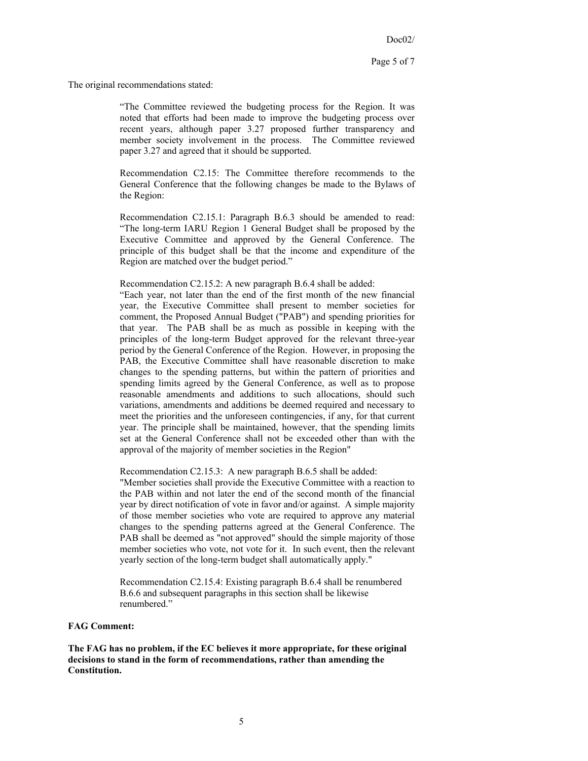The original recommendations stated:

"The Committee reviewed the budgeting process for the Region. It was noted that efforts had been made to improve the budgeting process over recent years, although paper 3.27 proposed further transparency and member society involvement in the process. The Committee reviewed paper 3.27 and agreed that it should be supported.

Recommendation C2.15: The Committee therefore recommends to the General Conference that the following changes be made to the Bylaws of the Region:

Recommendation C2.15.1: Paragraph B.6.3 should be amended to read: "The long-term IARU Region 1 General Budget shall be proposed by the Executive Committee and approved by the General Conference. The principle of this budget shall be that the income and expenditure of the Region are matched over the budget period."

Recommendation C2.15.2: A new paragraph B.6.4 shall be added:

"Each year, not later than the end of the first month of the new financial year, the Executive Committee shall present to member societies for comment, the Proposed Annual Budget ("PAB") and spending priorities for that year. The PAB shall be as much as possible in keeping with the principles of the long-term Budget approved for the relevant three-year period by the General Conference of the Region. However, in proposing the PAB, the Executive Committee shall have reasonable discretion to make changes to the spending patterns, but within the pattern of priorities and spending limits agreed by the General Conference, as well as to propose reasonable amendments and additions to such allocations, should such variations, amendments and additions be deemed required and necessary to meet the priorities and the unforeseen contingencies, if any, for that current year. The principle shall be maintained, however, that the spending limits set at the General Conference shall not be exceeded other than with the approval of the majority of member societies in the Region"

Recommendation C2.15.3: A new paragraph B.6.5 shall be added:

"Member societies shall provide the Executive Committee with a reaction to the PAB within and not later the end of the second month of the financial year by direct notification of vote in favor and/or against. A simple majority of those member societies who vote are required to approve any material changes to the spending patterns agreed at the General Conference. The PAB shall be deemed as "not approved" should the simple majority of those member societies who vote, not vote for it. In such event, then the relevant yearly section of the long-term budget shall automatically apply."

Recommendation C2.15.4: Existing paragraph B.6.4 shall be renumbered B.6.6 and subsequent paragraphs in this section shall be likewise renumbered."

#### **FAG Comment:**

**The FAG has no problem, if the EC believes it more appropriate, for these original decisions to stand in the form of recommendations, rather than amending the Constitution.**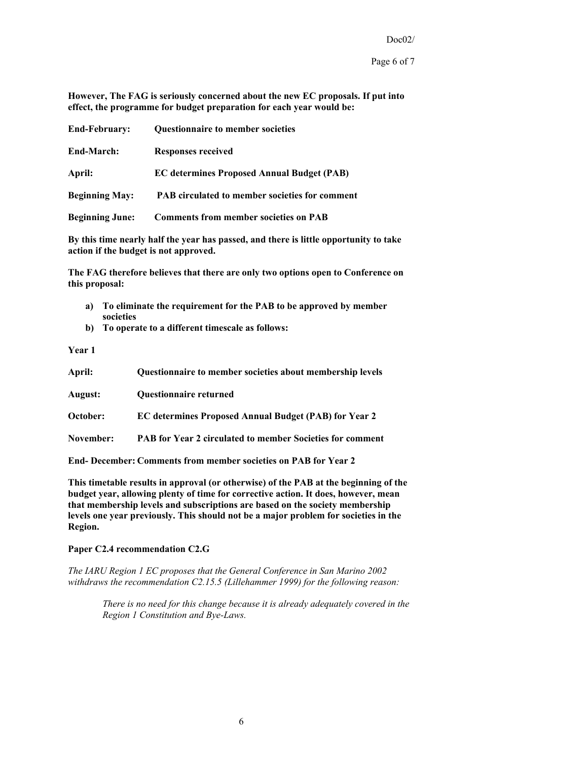Doc02/

Page 6 of 7

**However, The FAG is seriously concerned about the new EC proposals. If put into effect, the programme for budget preparation for each year would be:** 

| <b>End-February:</b>   | <b>Questionnaire to member societies</b>              |
|------------------------|-------------------------------------------------------|
| End-March:             | <b>Responses received</b>                             |
| April:                 | <b>EC</b> determines Proposed Annual Budget (PAB)     |
| <b>Beginning May:</b>  | <b>PAB</b> circulated to member societies for comment |
| <b>Beginning June:</b> | <b>Comments from member societies on PAB</b>          |

**By this time nearly half the year has passed, and there is little opportunity to take action if the budget is not approved.** 

**The FAG therefore believes that there are only two options open to Conference on this proposal:**

- **a) To eliminate the requirement for the PAB to be approved by member societies**
- **b) To operate to a different timescale as follows:**

**Year 1** 

| April:    | Questionnaire to member societies about membership levels        |
|-----------|------------------------------------------------------------------|
| August:   | <b>Ouestionnaire returned</b>                                    |
| October:  | <b>EC determines Proposed Annual Budget (PAB) for Year 2</b>     |
| November: | <b>PAB</b> for Year 2 circulated to member Societies for comment |

**End- December: Comments from member societies on PAB for Year 2** 

**This timetable results in approval (or otherwise) of the PAB at the beginning of the budget year, allowing plenty of time for corrective action. It does, however, mean that membership levels and subscriptions are based on the society membership levels one year previously. This should not be a major problem for societies in the Region.** 

#### **Paper C2.4 recommendation C2.G**

*The IARU Region 1 EC proposes that the General Conference in San Marino 2002 withdraws the recommendation C2.15.5 (Lillehammer 1999) for the following reason:* 

> *There is no need for this change because it is already adequately covered in the Region 1 Constitution and Bye-Laws.*